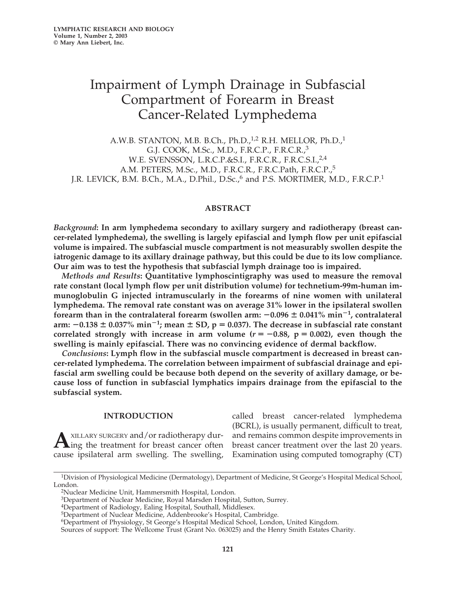# Impairment of Lymph Drainage in Subfascial Compartment of Forearm in Breast Cancer-Related Lymphedema

A.W.B. STANTON, M.B. B.Ch., Ph.D.,<sup>1,2</sup> R.H. MELLOR, Ph.D.,<sup>1</sup> G.J. COOK, M.Sc., M.D., F.R.C.P., F.R.C.R.,3 W.E. SVENSSON, L.R.C.P.&S.I., F.R.C.R., F.R.C.S.I.,2,4 A.M. PETERS, M.Sc., M.D., F.R.C.R., F.R.C.Path, F.R.C.P.,<sup>5</sup> J.R. LEVICK, B.M. B.Ch., M.A., D.Phil., D.Sc.,<sup>6</sup> and P.S. MORTIMER, M.D., F.R.C.P.<sup>1</sup>

## **ABSTRACT**

*Background***: In arm lymphedema secondary to axillary surgery and radiotherapy (breast cancer-related lymphedema), the swelling is largely epifascial and lymph flow per unit epifascial volume is impaired. The subfascial muscle compartment is not measurably swollen despite the iatrogenic damage to its axillary drainage pathway, but this could be due to its low compliance. Our aim was to test the hypothesis that subfascial lymph drainage too is impaired.**

*Methods and Results***: Quantitative lymphoscintigraphy was used to measure the removal rate constant (local lymph flow per unit distribution volume) for technetium-99m-human immunoglobulin G injected intramuscularly in the forearms of nine women with unilateral lymphedema. The removal rate constant was on average 31% lower in the ipsilateral swollen forearm than in the contralateral forearm (swollen arm: -0.096 0.041% min-1, contralateral arm: -0.138 0.037% min-1; mean SD, p 0.037). The decrease in subfascial rate constant** correlated strongly with increase in arm volume ( $r = -0.88$ ,  $p = 0.002$ ), even though the **swelling is mainly epifascial. There was no convincing evidence of dermal backflow.**

*Conclusions***: Lymph flow in the subfascial muscle compartment is decreased in breast cancer-related lymphedema. The correlation between impairment of subfascial drainage and epifascial arm swelling could be because both depend on the severity of axillary damage, or because loss of function in subfascial lymphatics impairs drainage from the epifascial to the subfascial system.**

# **INTRODUCTION**

AXILLARY SURGERY and/or radiotherapy dur-<br>ing the treatment for breast cancer often cause ipsilateral arm swelling. The swelling,

called breast cancer-related lymphedema (BCRL), is usually permanent, difficult to treat, and remains common despite improvements in breast cancer treatment over the last 20 years. Examination using computed tomography (CT)

<sup>1</sup>Division of Physiological Medicine (Dermatology), Department of Medicine, St George's Hospital Medical School, London.<br><sup>2</sup>Nuclear Medicine Unit, Hammersmith Hospital, London.

<sup>3</sup>Department of Nuclear Medicine, Royal Marsden Hospital, Sutton, Surrey.

<sup>4</sup>Department of Radiology, Ealing Hospital, Southall, Middlesex.

<sup>5</sup>Department of Nuclear Medicine, Addenbrooke's Hospital, Cambridge.

<sup>6</sup>Department of Physiology, St George's Hospital Medical School, London, United Kingdom.

Sources of support: The Wellcome Trust (Grant No. 063025) and the Henry Smith Estates Charity.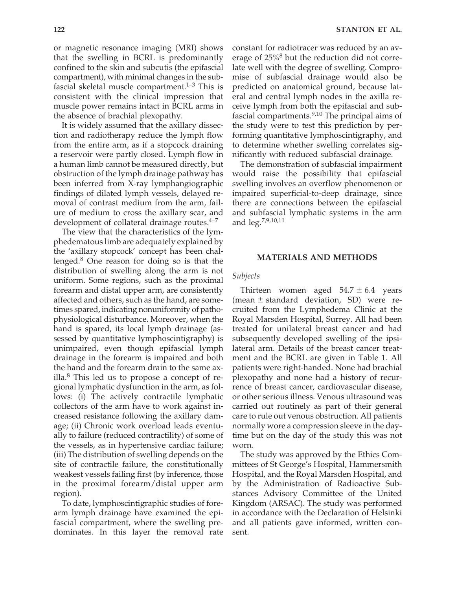or magnetic resonance imaging (MRI) shows that the swelling in BCRL is predominantly confined to the skin and subcutis (the epifascial compartment), with minimal changes in the subfascial skeletal muscle compartment.<sup>1–3</sup> This is consistent with the clinical impression that muscle power remains intact in BCRL arms in the absence of brachial plexopathy.

It is widely assumed that the axillary dissection and radiotherapy reduce the lymph flow from the entire arm, as if a stopcock draining a reservoir were partly closed. Lymph flow in a human limb cannot be measured directly, but obstruction of the lymph drainage pathway has been inferred from X-ray lymphangiographic findings of dilated lymph vessels, delayed removal of contrast medium from the arm, failure of medium to cross the axillary scar, and development of collateral drainage routes.<sup>4–7</sup>

The view that the characteristics of the lymphedematous limb are adequately explained by the 'axillary stopcock' concept has been challenged.<sup>8</sup> One reason for doing so is that the distribution of swelling along the arm is not uniform. Some regions, such as the proximal forearm and distal upper arm, are consistently affected and others, such as the hand, are sometimes spared, indicating nonuniformity of pathophysiological disturbance. Moreover, when the hand is spared, its local lymph drainage (assessed by quantitative lymphoscintigraphy) is unimpaired, even though epifascial lymph drainage in the forearm is impaired and both the hand and the forearm drain to the same ax $i$ lla.<sup>8</sup> This led us to propose a concept of regional lymphatic dysfunction in the arm, as follows: (i) The actively contractile lymphatic collectors of the arm have to work against increased resistance following the axillary damage; (ii) Chronic work overload leads eventually to failure (reduced contractility) of some of the vessels, as in hypertensive cardiac failure; (iii) The distribution of swelling depends on the site of contractile failure, the constitutionally weakest vessels failing first (by inference, those in the proximal forearm/distal upper arm region).

To date, lymphoscintigraphic studies of forearm lymph drainage have examined the epifascial compartment, where the swelling predominates. In this layer the removal rate constant for radiotracer was reduced by an average of 25%<sup>8</sup> but the reduction did not correlate well with the degree of swelling. Compromise of subfascial drainage would also be predicted on anatomical ground, because lateral and central lymph nodes in the axilla receive lymph from both the epifascial and subfascial compartments. $9,10$  The principal aims of the study were to test this prediction by performing quantitative lymphoscintigraphy, and to determine whether swelling correlates significantly with reduced subfascial drainage.

The demonstration of subfascial impairment would raise the possibility that epifascial swelling involves an overflow phenomenon or impaired superficial-to-deep drainage, since there are connections between the epifascial and subfascial lymphatic systems in the arm and leg.7,9,10,11

## **MATERIALS AND METHODS**

## *Subjects*

Thirteen women aged  $54.7 \pm 6.4$  years (mean  $\pm$  standard deviation, SD) were recruited from the Lymphedema Clinic at the Royal Marsden Hospital, Surrey. All had been treated for unilateral breast cancer and had subsequently developed swelling of the ipsilateral arm. Details of the breast cancer treatment and the BCRL are given in Table 1. All patients were right-handed. None had brachial plexopathy and none had a history of recurrence of breast cancer, cardiovascular disease, or other serious illness. Venous ultrasound was carried out routinely as part of their general care to rule out venous obstruction. All patients normally wore a compression sleeve in the daytime but on the day of the study this was not worn.

The study was approved by the Ethics Committees of St George's Hospital, Hammersmith Hospital, and the Royal Marsden Hospital, and by the Administration of Radioactive Substances Advisory Committee of the United Kingdom (ARSAC). The study was performed in accordance with the Declaration of Helsinki and all patients gave informed, written consent.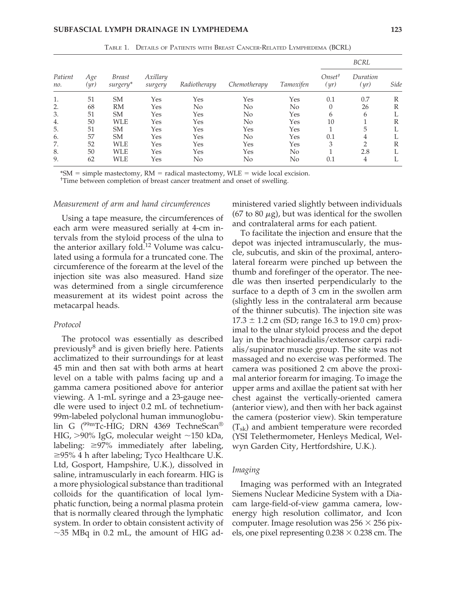| Patient<br>no. | Age<br>(yr) | <b>Breast</b><br>surgery* | Axillary<br>surgery | Radiotherapy | Chemotherapy | Tamoxifen      | <b>BCRL</b>               |                  |              |
|----------------|-------------|---------------------------|---------------------|--------------|--------------|----------------|---------------------------|------------------|--------------|
|                |             |                           |                     |              |              |                | $Onset^{\dagger}$<br>(yr) | Duration<br>(yr) | Side         |
| 1.             | 51          | <b>SM</b>                 | Yes                 | Yes          | Yes          | Yes            | 0.1                       | 0.7              | R            |
| 2.             | 68          | RM                        | Yes                 | No           | No           | No             | $\Omega$                  | 26               | R            |
| 3.             | 51          | <b>SM</b>                 | Yes                 | Yes          | No           | Yes            | 6                         | 6                |              |
| 4.             | 50          | <b>WLE</b>                | Yes                 | Yes          | No           | Yes            | 10                        |                  | R            |
| 5.             | 51          | <b>SM</b>                 | Yes                 | Yes          | Yes          | Yes            |                           | 5                |              |
| 6.             | 57          | <b>SM</b>                 | Yes                 | Yes          | No           | Yes            | 0.1                       | 4                |              |
| 7.             | 52          | <b>WLE</b>                | Yes                 | Yes          | Yes          | Yes            | 3                         | $\mathcal{L}$    | $\mathbb{R}$ |
| 8.             | 50          | <b>WLE</b>                | Yes                 | Yes          | Yes          | N <sub>o</sub> |                           | 2.8              |              |
| 9.             | 62          | <b>WLE</b>                | Yes                 | No           | No           | No             | 0.1                       | 4                |              |

TABLE 1. DETAILS OF PATIENTS WITH BREAST CANCER-RELATED LYMPHEDEMA (BCRL)

 $*SM$  = simple mastectomy,  $RM$  = radical mastectomy, WLE = wide local excision.  $\dagger$ Time between completion of breast cancer treatment and onset of swelling.

#### *Measurement of arm and hand circumferences*

Using a tape measure, the circumferences of each arm were measured serially at 4-cm intervals from the styloid process of the ulna to the anterior axillary fold.<sup>12</sup> Volume was calculated using a formula for a truncated cone. The circumference of the forearm at the level of the injection site was also measured. Hand size was determined from a single circumference measurement at its widest point across the metacarpal heads.

#### *Protocol*

The protocol was essentially as described previously<sup>8</sup> and is given briefly here. Patients acclimatized to their surroundings for at least 45 min and then sat with both arms at heart level on a table with palms facing up and a gamma camera positioned above for anterior viewing. A 1-mL syringe and a 23-gauge needle were used to inject 0.2 mL of technetium-99m-labeled polyclonal human immunoglobulin G (99mTc-HIG; DRN 4369 TechneScan® HIG,  $>$ 90% IgG, molecular weight  $\sim$ 150 kDa, labeling:  $\geq$ 97% immediately after labeling,  $\geq$ 95% 4 h after labeling; Tyco Healthcare U.K. Ltd, Gosport, Hampshire, U.K.), dissolved in saline, intramuscularly in each forearm. HIG is a more physiological substance than traditional colloids for the quantification of local lymphatic function, being a normal plasma protein that is normally cleared through the lymphatic system. In order to obtain consistent activity of  $\sim$ 35 MBq in 0.2 mL, the amount of HIG administered varied slightly between individuals  $(67 \text{ to } 80 \text{ }\mu\text{g})$ , but was identical for the swollen and contralateral arms for each patient.

To facilitate the injection and ensure that the depot was injected intramuscularly, the muscle, subcutis, and skin of the proximal, anterolateral forearm were pinched up between the thumb and forefinger of the operator. The needle was then inserted perpendicularly to the surface to a depth of 3 cm in the swollen arm (slightly less in the contralateral arm because of the thinner subcutis). The injection site was  $17.3 \pm 1.2$  cm (SD; range 16.3 to 19.0 cm) proximal to the ulnar styloid process and the depot lay in the brachioradialis/extensor carpi radialis/supinator muscle group. The site was not massaged and no exercise was performed. The camera was positioned 2 cm above the proximal anterior forearm for imaging. To image the upper arms and axillae the patient sat with her chest against the vertically-oriented camera (anterior view), and then with her back against the camera (posterior view). Skin temperature  $(T_{sk})$  and ambient temperature were recorded (YSI Telethermometer, Henleys Medical, Welwyn Garden City, Hertfordshire, U.K.).

## *Imaging*

Imaging was performed with an Integrated Siemens Nuclear Medicine System with a Diacam large-field-of-view gamma camera, lowenergy high resolution collimator, and Icon computer. Image resolution was  $256 \times 256$  pixels, one pixel representing  $0.238 \times 0.238$  cm. The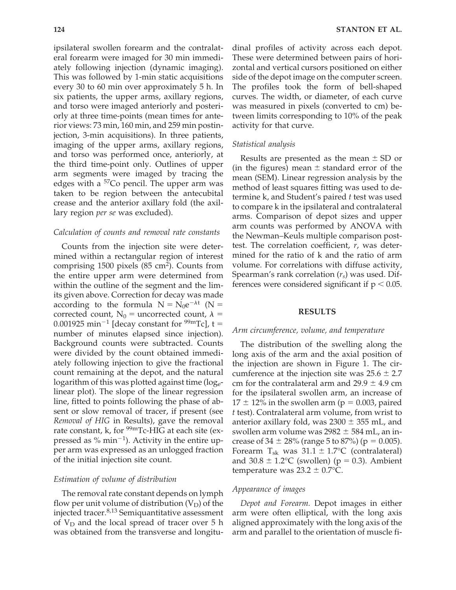ipsilateral swollen forearm and the contralateral forearm were imaged for 30 min immediately following injection (dynamic imaging). This was followed by 1-min static acquisitions every 30 to 60 min over approximately 5 h. In six patients, the upper arms, axillary regions, and torso were imaged anteriorly and posteriorly at three time-points (mean times for anterior views: 73 min, 160 min, and 259 min postinjection, 3-min acquisitions). In three patients, imaging of the upper arms, axillary regions, and torso was performed once, anteriorly, at the third time-point only. Outlines of upper arm segments were imaged by tracing the edges with a  $57C$ o pencil. The upper arm was taken to be region between the antecubital crease and the anterior axillary fold (the axillary region *per se* was excluded).

## *Calculation of counts and removal rate constants*

Counts from the injection site were determined within a rectangular region of interest comprising 1500 pixels (85 cm2). Counts from the entire upper arm were determined from within the outline of the segment and the limits given above. Correction for decay was made according to the formula  $N = N_0e^{-\lambda t}$  (N = corrected count,  $N_0$  = uncorrected count,  $\lambda$  = 0.001925 min<sup>-1</sup> [decay constant for  $\frac{99 \text{m}}{1 \text{c}}$ ], t = number of minutes elapsed since injection). Background counts were subtracted. Counts were divided by the count obtained immediately following injection to give the fractional count remaining at the depot, and the natural logarithm of this was plotted against time ( $log_e$ linear plot). The slope of the linear regression line, fitted to points following the phase of absent or slow removal of tracer, if present (see *Removal of HIG* in Results), gave the removal rate constant, k, for  $\frac{99m}{Tc}$ -HIG at each site (expressed as  $\%$  min<sup>-1</sup>). Activity in the entire upper arm was expressed as an unlogged fraction of the initial injection site count.

## *Estimation of volume of distribution*

The removal rate constant depends on lymph flow per unit volume of distribution  $(V_D)$  of the injected tracer.8,13 Semiquantitative assessment of  $V_D$  and the local spread of tracer over 5 h was obtained from the transverse and longitudinal profiles of activity across each depot. These were determined between pairs of horizontal and vertical cursors positioned on either side of the depot image on the computer screen. The profiles took the form of bell-shaped curves. The width, or diameter, of each curve was measured in pixels (converted to cm) between limits corresponding to 10% of the peak activity for that curve.

## *Statistical analysis*

Results are presented as the mean  $\pm$  SD or (in the figures) mean  $\pm$  standard error of the mean (SEM). Linear regression analysis by the method of least squares fitting was used to determine k, and Student's paired *t* test was used to compare k in the ipsilateral and contralateral arms. Comparison of depot sizes and upper arm counts was performed by ANOVA with the Newman–Keuls multiple comparison posttest. The correlation coefficient, *r*, was determined for the ratio of k and the ratio of arm volume. For correlations with diffuse activity, Spearman's rank correlation (*rs*) was used. Differences were considered significant if  $p < 0.05$ .

## **RESULTS**

## *Arm circumference, volume, and temperature*

The distribution of the swelling along the long axis of the arm and the axial position of the injection are shown in Figure 1. The circumference at the injection site was  $25.6 \pm 2.7$ cm for the contralateral arm and  $29.9 \pm 4.9$  cm for the ipsilateral swollen arm, an increase of  $17 \pm 12\%$  in the swollen arm ( $p = 0.003$ , paired *t* test). Contralateral arm volume, from wrist to anterior axillary fold, was 2300  $\pm$  355 mL, and swollen arm volume was 2982  $\pm$  584 mL, an increase of 34  $\pm$  28% (range 5 to 87%) (p = 0.005). Forearm  $T_{sk}$  was  $31.1 \pm 1.7$ °C (contralateral) and  $30.8 \pm 1.2$ °C (swollen) (p = 0.3). Ambient temperature was  $23.2 \pm 0.7$ °C.

## *Appearance of images*

*Depot and Forearm.* Depot images in either arm were often elliptical, with the long axis aligned approximately with the long axis of the arm and parallel to the orientation of muscle fi-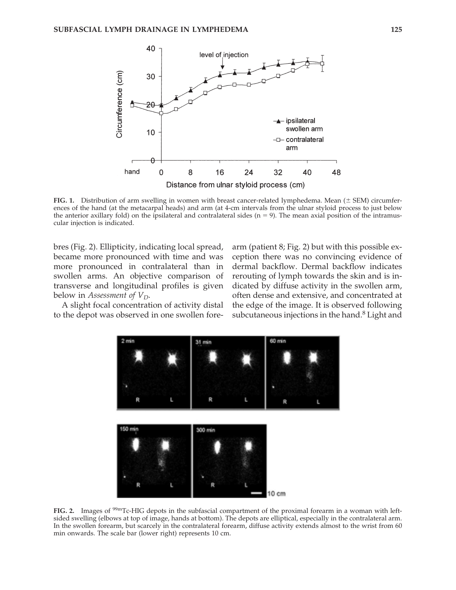

**FIG. 1.** Distribution of arm swelling in women with breast cancer-related lymphedema. Mean ( $\pm$  SEM) circumferences of the hand (at the metacarpal heads) and arm (at 4-cm intervals from the ulnar styloid process to just below the anterior axillary fold) on the ipsilateral and contralateral sides ( $n = 9$ ). The mean axial position of the intramuscular injection is indicated.

bres (Fig. 2). Ellipticity, indicating local spread, became more pronounced with time and was more pronounced in contralateral than in swollen arms. An objective comparison of transverse and longitudinal profiles is given below in *Assessment of V<sub>D</sub>*.

A slight focal concentration of activity distal to the depot was observed in one swollen forearm (patient 8; Fig. 2) but with this possible exception there was no convincing evidence of dermal backflow. Dermal backflow indicates rerouting of lymph towards the skin and is indicated by diffuse activity in the swollen arm, often dense and extensive, and concentrated at the edge of the image. It is observed following subcutaneous injections in the hand. $8$  Light and



**FIG. 2.** Images of 99mTc-HIG depots in the subfascial compartment of the proximal forearm in a woman with leftsided swelling (elbows at top of image, hands at bottom). The depots are elliptical, especially in the contralateral arm. In the swollen forearm, but scarcely in the contralateral forearm, diffuse activity extends almost to the wrist from 60 min onwards. The scale bar (lower right) represents 10 cm.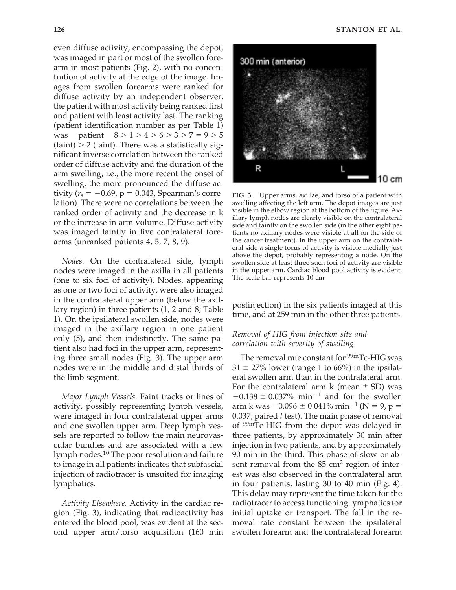even diffuse activity, encompassing the depot, was imaged in part or most of the swollen forearm in most patients (Fig. 2), with no concentration of activity at the edge of the image. Images from swollen forearms were ranked for diffuse activity by an independent observer, the patient with most activity being ranked first and patient with least activity last. The ranking (patient identification number as per Table 1) was patient  $8 > 1 > 4 > 6 > 3 > 7 = 9 > 5$  $(faint) > 2$  (faint). There was a statistically significant inverse correlation between the ranked order of diffuse activity and the duration of the arm swelling, i.e., the more recent the onset of swelling, the more pronounced the diffuse activity ( $r_s = -0.69$ ,  $p = 0.043$ , Spearman's correlation). There were no correlations between the ranked order of activity and the decrease in k or the increase in arm volume. Diffuse activity was imaged faintly in five contralateral forearms (unranked patients 4, 5, 7, 8, 9).

*Nodes.* On the contralateral side, lymph nodes were imaged in the axilla in all patients (one to six foci of activity). Nodes, appearing as one or two foci of activity, were also imaged in the contralateral upper arm (below the axillary region) in three patients (1, 2 and 8; Table 1). On the ipsilateral swollen side, nodes were imaged in the axillary region in one patient only (5), and then indistinctly. The same patient also had foci in the upper arm, representing three small nodes (Fig. 3). The upper arm nodes were in the middle and distal thirds of the limb segment.

*Major Lymph Vessels.* Faint tracks or lines of activity, possibly representing lymph vessels, were imaged in four contralateral upper arms and one swollen upper arm. Deep lymph vessels are reported to follow the main neurovascular bundles and are associated with a few lymph nodes.<sup>10</sup> The poor resolution and failure to image in all patients indicates that subfascial injection of radiotracer is unsuited for imaging lymphatics.

*Activity Elsewhere.* Activity in the cardiac region (Fig. 3), indicating that radioactivity has entered the blood pool, was evident at the second upper arm/torso acquisition (160 min



**FIG. 3.** Upper arms, axillae, and torso of a patient with swelling affecting the left arm. The depot images are just visible in the elbow region at the bottom of the figure. Axillary lymph nodes are clearly visible on the contralateral side and faintly on the swollen side (in the other eight patients no axillary nodes were visible at all on the side of the cancer treatment). In the upper arm on the contralateral side a single focus of activity is visible medially just above the depot, probably representing a node. On the swollen side at least three such foci of activity are visible in the upper arm. Cardiac blood pool activity is evident. The scale bar represents 10 cm.

postinjection) in the six patients imaged at this time, and at 259 min in the other three patients.

# *Removal of HIG from injection site and correlation with severity of swelling*

The removal rate constant for <sup>99m</sup>Tc-HIG was  $31 \pm 27\%$  lower (range 1 to 66%) in the ipsilateral swollen arm than in the contralateral arm. For the contralateral arm  $k$  (mean  $\pm$  SD) was  $-0.138 \pm 0.037\%$  min<sup>-1</sup> and for the swollen arm k was  $-0.096 \pm 0.041\%$  min<sup>-1</sup> (N = 9, p = 0.037, paired *t* test). The main phase of removal of <sup>99m</sup>Tc-HIG from the depot was delayed in three patients, by approximately 30 min after injection in two patients, and by approximately 90 min in the third. This phase of slow or absent removal from the  $85 \text{ cm}^2$  region of interest was also observed in the contralateral arm in four patients, lasting 30 to 40 min (Fig. 4). This delay may represent the time taken for the radiotracer to access functioning lymphatics for initial uptake or transport. The fall in the removal rate constant between the ipsilateral swollen forearm and the contralateral forearm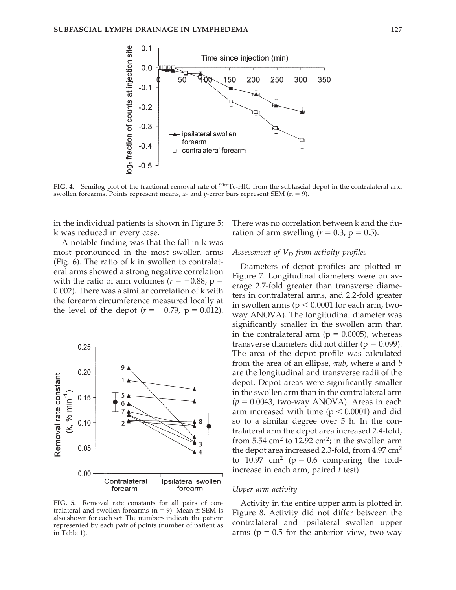

**FIG. 4.** Semilog plot of the fractional removal rate of 99mTc-HIG from the subfascial depot in the contralateral and swollen forearms. Points represent means,  $x$ - and  $y$ -error bars represent SEM ( $n = 9$ ).

in the individual patients is shown in Figure 5; k was reduced in every case.

A notable finding was that the fall in k was most pronounced in the most swollen arms (Fig. 6). The ratio of k in swollen to contralateral arms showed a strong negative correlation with the ratio of arm volumes ( $r = -0.88$ ,  $p =$ 0.002). There was a similar correlation of k with the forearm circumference measured locally at the level of the depot  $(r = -0.79, p = 0.012)$ .



**FIG. 5.** Removal rate constants for all pairs of contralateral and swollen forearms ( $n = 9$ ). Mean  $\pm$  SEM is also shown for each set. The numbers indicate the patient represented by each pair of points (number of patient as in Table 1).

There was no correlation between k and the duration of arm swelling ( $r = 0.3$ ,  $p = 0.5$ ).

#### Assessment of  $V_D$  *from activity profiles*

Diameters of depot profiles are plotted in Figure 7. Longitudinal diameters were on average 2.7-fold greater than transverse diameters in contralateral arms, and 2.2-fold greater in swollen arms ( $p < 0.0001$  for each arm, twoway ANOVA). The longitudinal diameter was significantly smaller in the swollen arm than in the contralateral arm ( $p = 0.0005$ ), whereas transverse diameters did not differ ( $p = 0.099$ ). The area of the depot profile was calculated from the area of an ellipse,  $\pi ab$ , where *a* and *b* are the longitudinal and transverse radii of the depot. Depot areas were significantly smaller in the swollen arm than in the contralateral arm  $(p = 0.0043$ , two-way ANOVA). Areas in each arm increased with time ( $p < 0.0001$ ) and did so to a similar degree over 5 h. In the contralateral arm the depot area increased 2.4-fold, from 5.54 cm<sup>2</sup> to 12.92 cm<sup>2</sup>; in the swollen arm the depot area increased 2.3-fold, from 4.97 cm<sup>2</sup> to 10.97 cm<sup>2</sup> ( $p = 0.6$  comparing the foldincrease in each arm, paired *t* test).

## *Upper arm activity*

Activity in the entire upper arm is plotted in Figure 8. Activity did not differ between the contralateral and ipsilateral swollen upper arms ( $p = 0.5$  for the anterior view, two-way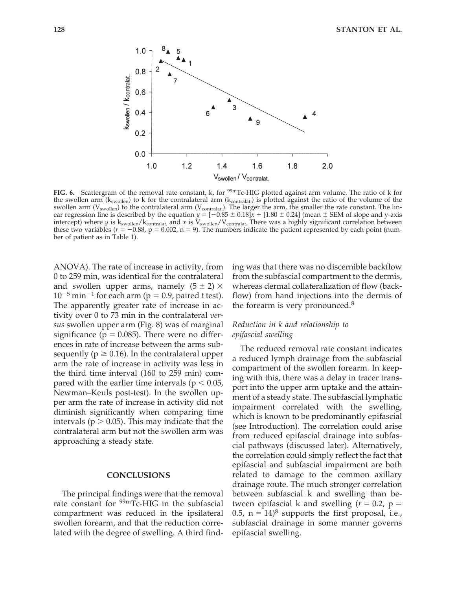

FIG. 6. Scattergram of the removal rate constant, k, for <sup>99m</sup>Tc-HIG plotted against arm volume. The ratio of k for the swollen arm ( $k_{swollen}$ ) to k for the contralateral arm ( $k_{contrast}$ ) is plotted against the ratio of the volume of the swollen arm (V<sub>swollen</sub>) to the contralateral arm (V<sub>contralat.</sub>). The larger the arm, the smaller the rate constant. The linear regression line is described by the equation  $y = [-0.85 \pm 0.18]x + [1.80 \pm 0.24]$  (mean  $\pm$  SEM of slope and y-axis intercept) where *y* is  $k_{swollen}/k_{contralat.}$  and *x* is  $V_{swollen}/V_{contralat.}$  There was a highly significant correlation between these two variables ( $r = -0.88$ ,  $p = 0.002$ ,  $n = 9$ ). The numbers indicate the patient represented by each point (number of patient as in Table 1).

ANOVA). The rate of increase in activity, from 0 to 259 min, was identical for the contralateral and swollen upper arms, namely  $(5 \pm 2) \times$  $10^{-5}$  min<sup>-1</sup> for each arm (p = 0.9, paired *t* test). The apparently greater rate of increase in activity over 0 to 73 min in the contralateral *versus* swollen upper arm (Fig. 8) was of marginal significance ( $p = 0.085$ ). There were no differences in rate of increase between the arms subsequently ( $p \ge 0.16$ ). In the contralateral upper arm the rate of increase in activity was less in the third time interval (160 to 259 min) compared with the earlier time intervals ( $p < 0.05$ , Newman–Keuls post-test). In the swollen upper arm the rate of increase in activity did not diminish significantly when comparing time intervals ( $p > 0.05$ ). This may indicate that the contralateral arm but not the swollen arm was approaching a steady state.

#### **CONCLUSIONS**

The principal findings were that the removal rate constant for 99mTc-HIG in the subfascial compartment was reduced in the ipsilateral swollen forearm, and that the reduction correlated with the degree of swelling. A third finding was that there was no discernible backflow from the subfascial compartment to the dermis, whereas dermal collateralization of flow (backflow) from hand injections into the dermis of the forearm is very pronounced.<sup>8</sup>

# *Reduction in k and relationship to epifascial swelling*

The reduced removal rate constant indicates a reduced lymph drainage from the subfascial compartment of the swollen forearm. In keeping with this, there was a delay in tracer transport into the upper arm uptake and the attainment of a steady state. The subfascial lymphatic impairment correlated with the swelling, which is known to be predominantly epifascial (see Introduction). The correlation could arise from reduced epifascial drainage into subfascial pathways (discussed later). Alternatively, the correlation could simply reflect the fact that epifascial and subfascial impairment are both related to damage to the common axillary drainage route. The much stronger correlation between subfascial k and swelling than between epifascial k and swelling  $(r = 0.2, p =$ 0.5,  $n = 14$ <sup>8</sup> supports the first proposal, i.e., subfascial drainage in some manner governs epifascial swelling.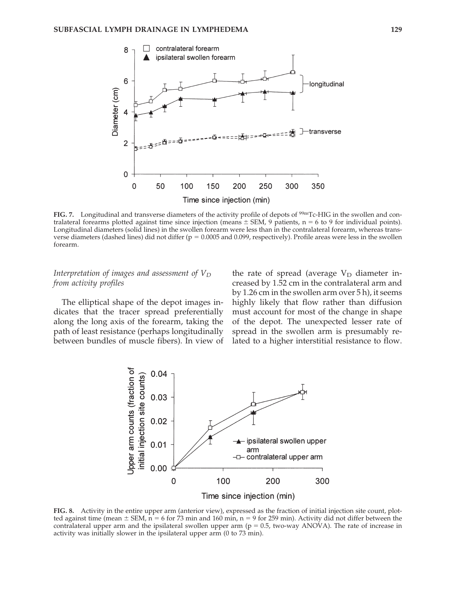

**FIG. 7.** Longitudinal and transverse diameters of the activity profile of depots of <sup>99m</sup>Tc-HIG in the swollen and contralateral forearms plotted against time since injection (means  $\pm$  SEM, 9 patients,  $n = 6$  to 9 for individual points). Longitudinal diameters (solid lines) in the swollen forearm were less than in the contralateral forearm, whereas transverse diameters (dashed lines) did not differ ( $p = 0.0005$  and 0.099, respectively). Profile areas were less in the swollen forearm.

# *Interpretation of images and assessment of V<sub>D</sub> from activity profiles*

The elliptical shape of the depot images indicates that the tracer spread preferentially along the long axis of the forearm, taking the path of least resistance (perhaps longitudinally between bundles of muscle fibers). In view of

the rate of spread (average  $V_D$  diameter increased by 1.52 cm in the contralateral arm and by 1.26 cm in the swollen arm over 5 h), it seems highly likely that flow rather than diffusion must account for most of the change in shape of the depot. The unexpected lesser rate of spread in the swollen arm is presumably related to a higher interstitial resistance to flow.



**FIG. 8.** Activity in the entire upper arm (anterior view), expressed as the fraction of initial injection site count, plotted against time (mean  $\pm$  SEM, n = 6 for 73 min and 160 min, n = 9 for 259 min). Activity did not differ between the contralateral upper arm and the ipsilateral swollen upper arm ( $p = 0.5$ , two-way ANOVA). The rate of increase in activity was initially slower in the ipsilateral upper arm (0 to 73 min).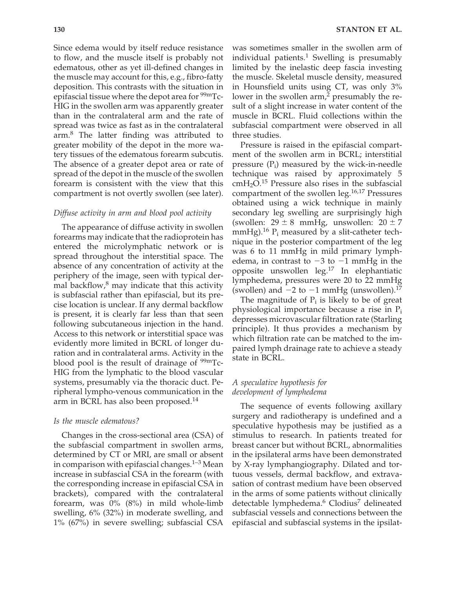Since edema would by itself reduce resistance to flow, and the muscle itself is probably not edematous, other as yet ill-defined changes in the muscle may account for this, e.g., fibro-fatty deposition. This contrasts with the situation in epifascial tissue where the depot area for <sup>99m</sup>Tc-HIG in the swollen arm was apparently greater than in the contralateral arm and the rate of spread was twice as fast as in the contralateral arm.8 The latter finding was attributed to greater mobility of the depot in the more watery tissues of the edematous forearm subcutis. The absence of a greater depot area or rate of spread of the depot in the muscle of the swollen forearm is consistent with the view that this compartment is not overtly swollen (see later).

## *Diffuse activity in arm and blood pool activity*

The appearance of diffuse activity in swollen forearms may indicate that the radioprotein has entered the microlymphatic network or is spread throughout the interstitial space. The absence of any concentration of activity at the periphery of the image, seen with typical dermal backflow, $8 \text{ may indicate that this activity}$ is subfascial rather than epifascial, but its precise location is unclear. If any dermal backflow is present, it is clearly far less than that seen following subcutaneous injection in the hand. Access to this network or interstitial space was evidently more limited in BCRL of longer duration and in contralateral arms. Activity in the blood pool is the result of drainage of  $\frac{99 \text{m}}{2}$ C-HIG from the lymphatic to the blood vascular systems, presumably via the thoracic duct. Peripheral lympho-venous communication in the arm in BCRL has also been proposed.<sup>14</sup>

## *Is the muscle edematous?*

Changes in the cross-sectional area (CSA) of the subfascial compartment in swollen arms, determined by CT or MRI, are small or absent in comparison with epifascial changes.<sup>1–3</sup> Mean increase in subfascial CSA in the forearm (with the corresponding increase in epifascial CSA in brackets), compared with the contralateral forearm, was 0% (8%) in mild whole-limb swelling, 6% (32%) in moderate swelling, and 1% (67%) in severe swelling; subfascial CSA

was sometimes smaller in the swollen arm of individual patients.<sup>1</sup> Swelling is presumably limited by the inelastic deep fascia investing the muscle. Skeletal muscle density, measured in Hounsfield units using CT, was only 3% lower in the swollen arm, $<sup>2</sup>$  presumably the re-</sup> sult of a slight increase in water content of the muscle in BCRL. Fluid collections within the subfascial compartment were observed in all three studies.

Pressure is raised in the epifascial compartment of the swollen arm in BCRL; interstitial pressure  $(P_i)$  measured by the wick-in-needle technique was raised by approximately 5  $cmH<sub>2</sub>O<sup>15</sup>$  Pressure also rises in the subfascial compartment of the swollen leg.16,17 Pressures obtained using a wick technique in mainly secondary leg swelling are surprisingly high (swollen:  $29 \pm 8$  mmHg, unswollen:  $20 \pm 7$ mmHg).<sup>16</sup>  $P_i$  measured by a slit-catheter technique in the posterior compartment of the leg was 6 to 11 mmHg in mild primary lymphedema, in contrast to  $-3$  to  $-1$  mmHg in the opposite unswollen leg.<sup>17</sup> In elephantiatic lymphedema, pressures were 20 to 22 mmHg (swollen) and  $-2$  to  $-1$  mmHg (unswollen).<sup>17</sup>

The magnitude of  $P_i$  is likely to be of great physiological importance because a rise in  $P_i$ depresses microvascular filtration rate (Starling principle). It thus provides a mechanism by which filtration rate can be matched to the impaired lymph drainage rate to achieve a steady state in BCRL.

# *A speculative hypothesis for development of lymphedema*

The sequence of events following axillary surgery and radiotherapy is undefined and a speculative hypothesis may be justified as a stimulus to research. In patients treated for breast cancer but without BCRL, abnormalities in the ipsilateral arms have been demonstrated by X-ray lymphangiography. Dilated and tortuous vessels, dermal backflow, and extravasation of contrast medium have been observed in the arms of some patients without clinically detectable lymphedema.<sup>6</sup> Clodius<sup>7</sup> delineated subfascial vessels and connections between the epifascial and subfascial systems in the ipsilat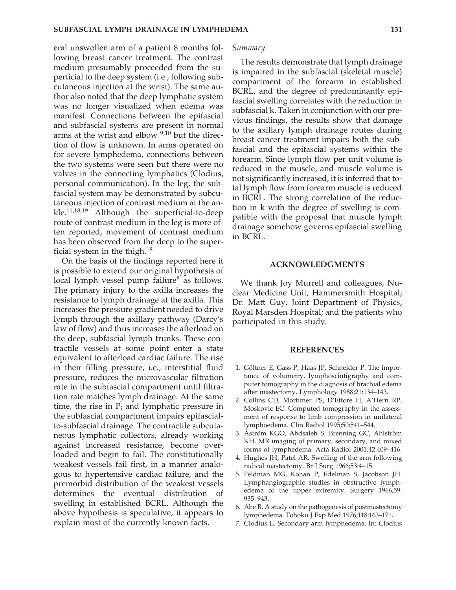eral unswollen arm of a patient 8 months following breast cancer treatment. The contrast medium presumably proceeded from the superficial to the deep system (i.e., following subcutaneous injection at the wrist). The same author also noted that the deep lymphatic system was no longer visualized when edema was manifest. Connections between the epifascial and subfascial systems are present in normal arms at the wrist and elbow <sup>9,10</sup> but the direction of flow is unknown. In arms operated on for severe lymphedema, connections between the two systems were seen but there were no valves in the connecting lymphatics (Clodius, personal communication). In the leg, the subfascial system may be demonstrated by subcutaneous injection of contrast medium at the ankle.11,18,19 Although the superficial-to-deep route of contrast medium in the leg is more often reported, movement of contrast medium has been observed from the deep to the superficial system in the thigh.18

On the basis of the findings reported here it is possible to extend our original hypothesis of local lymph vessel pump failure<sup>8</sup> as follows. The primary injury to the axilla increases the resistance to lymph drainage at the axilla. This increases the pressure gradient needed to drive lymph through the axillary pathway (Darcy's law of flow) and thus increases the afterload on the deep, subfascial lymph trunks. These contractile vessels at some point enter a state equivalent to afterload cardiac failure. The rise in their filling pressure, i.e., interstitial fluid pressure, reduces the microvascular filtration rate in the subfascial compartment until filtration rate matches lymph drainage. At the same time, the rise in  $P_i$  and lymphatic pressure in the subfascial compartment impairs epifascialto-subfascial drainage. The contractile subcutaneous lymphatic collectors, already working against increased resistance, become overloaded and begin to fail. The constitutionally weakest vessels fail first, in a manner analogous to hypertensive cardiac failure, and the premorbid distribution of the weakest vessels determines the eventual distribution of swelling in established BCRL. Although the above hypothesis is speculative, it appears to explain most of the currently known facts.

#### *Summary*

The results demonstrate that lymph drainage is impaired in the subfascial (skeletal muscle) compartment of the forearm in established BCRL, and the degree of predominantly epifascial swelling correlates with the reduction in subfascial k. Taken in conjunction with our previous findings, the results show that damage to the axillary lymph drainage routes during breast cancer treatment impairs both the subfascial and the epifascial systems within the forearm. Since lymph flow per unit volume is reduced in the muscle, and muscle volume is not significantly increased, it is inferred that total lymph flow from forearm muscle is reduced in BCRL. The strong correlation of the reduction in k with the degree of swelling is compatible with the proposal that muscle lymph drainage somehow governs epifascial swelling in BCRL.

#### **ACKNOWLEDGMENTS**

We thank Joy Murrell and colleagues, Nuclear Medicine Unit, Hammersmith Hospital; Dr. Matt Guy, Joint Department of Physics, Royal Marsden Hospital; and the patients who participated in this study.

#### **REFERENCES**

- 1. Göltner E, Gass P, Haas JP, Schneider P. The importance of volumetry, lymphoscintigraphy and computer tomography in the diagnosis of brachial edema after mastectomy. Lymphology 1988;21:134–143.
- 2. Collins CD, Mortimer PS, D'Ettore H, A'Hern RP, Moskovic EC. Computed tomography in the assessment of response to limb compression in unilateral lymphoedema. Clin Radiol 1995;50:541–544.
- 3. Åström KGO, Abdsaleh S, Brenning GC, Ahlström KH. MR imaging of primary, secondary, and mixed forms of lymphedema. Acta Radiol 2001;42:409–416.
- 4. Hughes JH, Patel AR. Swelling of the arm following radical mastectomy. Br J Surg 1966;53:4–15.
- 5. Feldman MG, Kohan P, Edelman S, Jacobson JH. Lymphangiographic studies in obstructive lymphedema of the upper extremity. Surgery 1966;59: 935–943.
- 6. Abe R. A study on the pathogenesis of postmastectomy lymphedema. Tohoku J Exp Med 1976;118:163–171.
- 7. Clodius L. Secondary arm lymphedema. In: Clodius